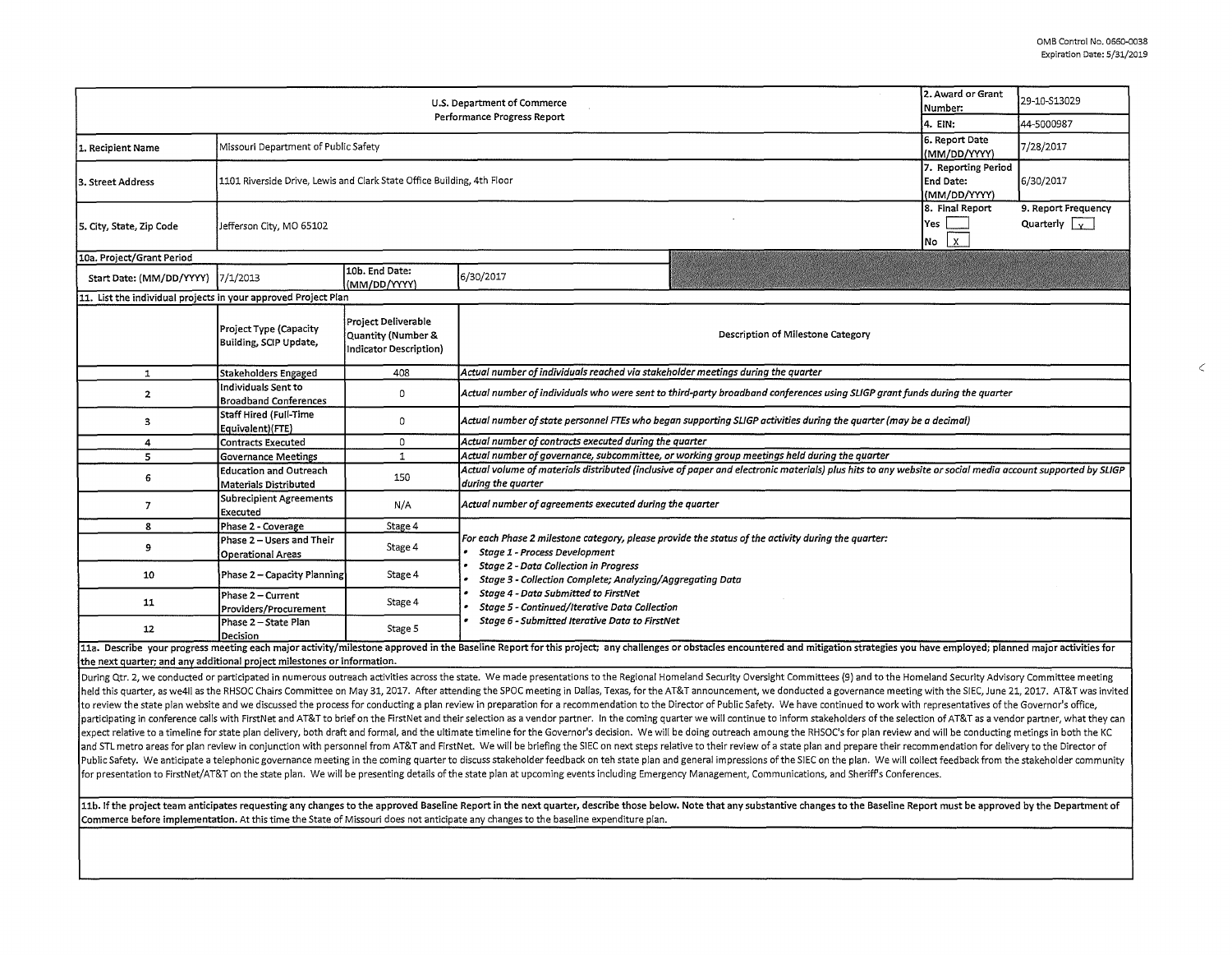$\epsilon$ 

| 2. Award or Grant<br>U.S. Department of Commerce<br>Number:<br>Performance Progress Report<br>4. EIN: |                                                                        |                                                                            |                                                                                                                                                                                |                                                                     | 29-10-S13029                                |  |  |  |  |
|-------------------------------------------------------------------------------------------------------|------------------------------------------------------------------------|----------------------------------------------------------------------------|--------------------------------------------------------------------------------------------------------------------------------------------------------------------------------|---------------------------------------------------------------------|---------------------------------------------|--|--|--|--|
|                                                                                                       |                                                                        |                                                                            |                                                                                                                                                                                |                                                                     | 44-5000987                                  |  |  |  |  |
| 1. Recipient Name                                                                                     | Missouri Department of Public Safety                                   | 6. Report Date<br>(MM/DD/YYYY)                                             | 7/28/2017                                                                                                                                                                      |                                                                     |                                             |  |  |  |  |
| 3. Street Address                                                                                     | 1101 Riverside Drive, Lewis and Clark State Office Building, 4th Floor |                                                                            |                                                                                                                                                                                | 7. Reporting Period<br>End Date:<br>(MM/DD/YYYY)<br>8. Final Report | 6/30/2017                                   |  |  |  |  |
| 5. City, State, Zip Code                                                                              | Jefferson City, MO 65102                                               |                                                                            |                                                                                                                                                                                |                                                                     | 9. Report Frequency<br>Quarterly $\sqrt{v}$ |  |  |  |  |
| 10a. Project/Grant Period                                                                             |                                                                        |                                                                            |                                                                                                                                                                                |                                                                     |                                             |  |  |  |  |
| Start Date: (MM/DD/YYYY)  7/1/2013                                                                    |                                                                        | 10b. End Date:<br>(MM/DD/YYYY)                                             | 6/30/2017                                                                                                                                                                      |                                                                     |                                             |  |  |  |  |
|                                                                                                       | 11. List the individual projects in your approved Project Plan         |                                                                            |                                                                                                                                                                                |                                                                     |                                             |  |  |  |  |
|                                                                                                       | Project Type (Capacity<br>Building, SCIP Update,                       | Project Deliverable<br>Quantity (Number &<br><b>Indicator Description)</b> | Description of Milestone Category                                                                                                                                              |                                                                     |                                             |  |  |  |  |
| $\mathbf{1}$                                                                                          | <b>Stakeholders Engaged</b>                                            | 408                                                                        | Actual number of individuals reached via stakeholder meetings during the quarter                                                                                               |                                                                     |                                             |  |  |  |  |
| $\overline{2}$                                                                                        | Individuals Sent to<br><b>Broadband Conferences</b>                    | $\mathbf 0$                                                                | Actual number of individuals who were sent to third-party broadband conferences using SLIGP grant funds during the quarter                                                     |                                                                     |                                             |  |  |  |  |
| $\mathbf{3}$                                                                                          | <b>Staff Hired (Full-Time</b><br>Equivalent)(FTE)                      | 0                                                                          | Actual number of state personnel FTEs who began supporting SLIGP activities during the quarter (may be a decimal)                                                              |                                                                     |                                             |  |  |  |  |
| 4                                                                                                     | <b>Contracts Executed</b>                                              | $\mathbf 0$                                                                | Actual number of contracts executed during the quarter                                                                                                                         |                                                                     |                                             |  |  |  |  |
| 5                                                                                                     | <b>Governance Meetings</b>                                             | $\mathbf{1}$                                                               | Actual number of governance, subcommittee, or working group meetings held during the quarter                                                                                   |                                                                     |                                             |  |  |  |  |
| 6                                                                                                     | <b>Education and Outreach</b><br>Materials Distributed                 | 150                                                                        | Actual volume of materials distributed (inclusive of paper and electronic materials) plus hits to any website or social media account supported by SLIGP<br>during the quarter |                                                                     |                                             |  |  |  |  |
| $\overline{7}$                                                                                        | Subrecipient Agreements<br>Executed                                    | N/A                                                                        | Actual number of agreements executed during the quarter                                                                                                                        |                                                                     |                                             |  |  |  |  |
| 8                                                                                                     | Phase 2 - Coverage                                                     | Stage 4                                                                    |                                                                                                                                                                                |                                                                     |                                             |  |  |  |  |
| 9                                                                                                     | Phase 2 - Users and Their<br><b>Operational Areas</b>                  | Stage 4                                                                    | For each Phase 2 milestone category, please provide the status of the activity during the quarter:<br><b>Stage 1 - Process Development</b>                                     |                                                                     |                                             |  |  |  |  |
| 10                                                                                                    | Phase 2 - Capacity Planning                                            | Stage 4                                                                    | <b>Stage 2 - Data Collection in Progress</b><br>Stage 3 - Collection Complete; Analyzing/Aggregating Data                                                                      |                                                                     |                                             |  |  |  |  |
| 11                                                                                                    | Phase 2 - Current<br>Providers/Procurement                             | Stage 4                                                                    | Stage 4 - Data Submitted to FirstNet<br>Stage 5 - Continued/Iterative Data Collection                                                                                          |                                                                     |                                             |  |  |  |  |
| 12                                                                                                    | Phase 2 - State Plan<br>Decision                                       | Stage 5                                                                    | Stage 6 - Submitted Iterative Data to FirstNet                                                                                                                                 |                                                                     |                                             |  |  |  |  |

11a. Describe your progress meeting each major activity/milestone approved in the Baseline Report for this project; any challenges or obstacles encountered and mitigation strategies you have employed; planned major activit the next quarter; and any additional project milestones or information.

During Qtr. 2, we conducted or participated in numerous outreach activities across the state. We made presentations to the Regional Homeland Security Oversight Committees (9) and to the Homeland Security Advisory Committee held this quarter, as we4ll as the RHSOC Chairs Committee on May 31, 2017. After attending the SPOC meeting in Dallas, Texas, for the AT&T announcement, we donducted a governance meeting with the SIEC, June 21, 2017. AT&T to review the state plan website and we discussed the process for conducting a plan review in preparation for a recommendation to the Director of Public Safety. We have continued to work with representatives of the Governo participating in conference calls with FirstNet and AT&T to brief on the FirstNet and their selection as a vendor partner. In the coming quarter we will continue to inform stakeholders of the selection of AT&T as a vendor expect relative to a timeline for state plan delivery, both draft and formal, and the ultimate timeline for the Governor's decision. We will be doing outreach amoung the RHSOC's for plan review and will be conducting metin and STL metro areas for plan review in conjunction with personnel from AT&T and FirstNet. We will be briefing the SIEC on next steps relative to their review of a state plan and prepare their recommendation for delivery to Public Safety. We anticipate a telephonic governance meeting in the coming quarter to discuss stakeholder feedback on teh state plan and general impressions of the SIEC on the plan. We will collect feedback from the stakeh for presentation to FirstNet/AT&T on the state plan. We will be presenting details of the state plan at upcoming events including Emergency Management, Communications, and Sheriff's Conferences.

11b. If the project team anticipates requesting any changes to the approved Baseline Report in the next quarter, describe those below. Note that any substantive changes to the Baseline Report must be approved by the Depart Commerce before implementation. At this time the State of Missouri does not anticipate any changes to the baseline expenditure plan.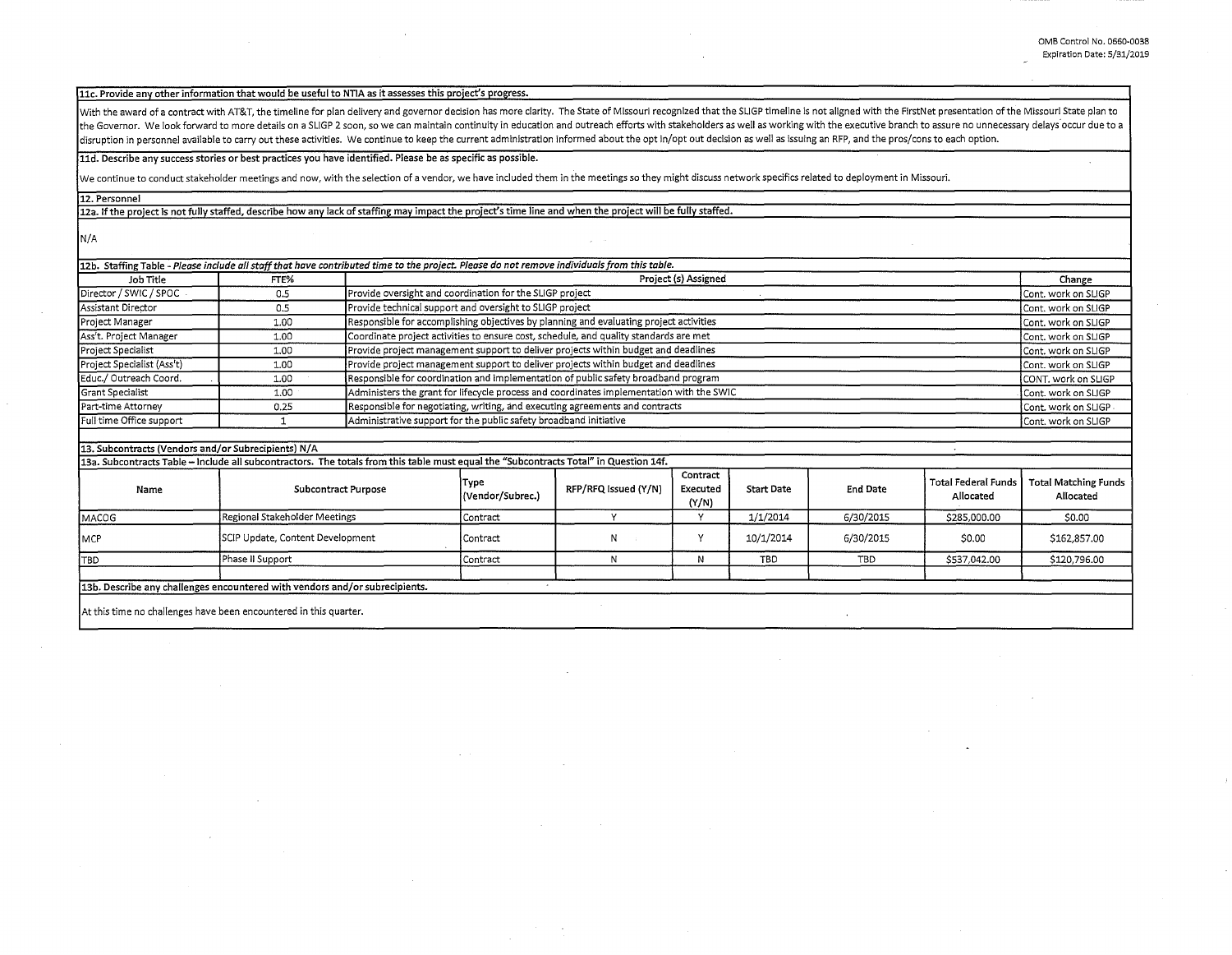## 11c. Provide any other information that would be useful to NTIA as it assesses this project's progress.

With the award of a contract with AT&T, the timeline for plan delivery and governor decision has more clarity. The State of Missouri recognized that the SLIGP timeline is not aligned with the FirstNet presentation of the M the Governor. We look forward to more details on a SLIGP 2 soon, so we can maintain continuity in education and outreach efforts with stakeholders as well as working with the executive branch to assure no unnecessary delay disruption in personnel available to carry out these activities. We continue to keep the current administration informed about the opt in/opt out decision as well as issuing an RFP, and the pros/cons to each option.

## lld. Describe any success stories or best practices you have identified. Please be as specific as possible.

We continue to conduct stakeholder meetings and now, with the selection of a vendor, we have included them in the meetings so they might discuss network specifics related to deployment in Missouri.

12. Personnel

12a. If the project is not fully staffed, describe how any lack of staffing may impact the project's time line and when the project will be fully staffed.

N/A

|                            |      | 12b. Staffing Table - Please include all staff that have contributed time to the project. Please do not remove individuals from this table. |                       |  |
|----------------------------|------|---------------------------------------------------------------------------------------------------------------------------------------------|-----------------------|--|
| Job Title<br>FTE%          |      | Project (s) Assigned                                                                                                                        | Change                |  |
| Director / SWIC / SPOC -   | 0.5  | Provide oversight and coordination for the SLIGP project                                                                                    | Cont. work on SLIGP   |  |
| Assistant Director         | 0.5  | Provide technical support and oversight to SLIGP project                                                                                    | Cont. work on SLIGP   |  |
| Project Manager            | 1.00 | Responsible for accomplishing objectives by planning and evaluating project activities                                                      | Cont. work on SLIGP   |  |
| Ass't. Project Manager     | 1.00 | Coordinate project activities to ensure cost, schedule, and quality standards are met                                                       | Cont. work on SLIGP   |  |
| Project Specialist         | 1.00 | Provide project management support to deliver projects within budget and deadlines                                                          | Cont. work on SLIGP   |  |
| Project Specialist (Ass't) | 1.00 | Provide project management support to deliver projects within budget and deadlines                                                          | Cont. work on SLIGP   |  |
| Educ./ Outreach Coord.     | 1.00 | Responsible for coordination and implementation of public safety broadband program                                                          | CONT. work on SLIGP   |  |
| Grant Specialist           | 1.00 | Administers the grant for lifecycle process and coordinates implementation with the SWIC                                                    | Cont. work on SLIGP   |  |
| Part-time Attorney         | 0.25 | Responsible for negotiating, writing, and executing agreements and contracts                                                                | Cont. work on SLIGP . |  |
| Full time Office support   |      | Administrative support for the public safety broadband initiative                                                                           | Cont. work on SLIGP   |  |
|                            |      |                                                                                                                                             |                       |  |

## 13. Subcontracts (Vendors and/or Subrecipients) N/A

13a. Subcontracts Table - Include all subcontractors. The totals from this table must equal the "Subcontracts Total" in Question 14f.

| Name         | <b>Subcontract Purpose</b>                                                   | Түре<br>(Vendor/Subrec.) | RFP/RFQ Issued (Y/N) | Contract<br>Executed<br>(Y/N) | <b>Start Date</b> | <b>End Date</b> | Allocated    | Total Federal Funds   Total Matching Funds  <br>Allocated |
|--------------|------------------------------------------------------------------------------|--------------------------|----------------------|-------------------------------|-------------------|-----------------|--------------|-----------------------------------------------------------|
| <b>MACOG</b> | Regional Stakeholder Meetings                                                | <b>Contract</b>          |                      |                               | 1/1/2014          | 6/30/2015       | \$285,000.00 | \$0.00                                                    |
| <b>IMCP</b>  | SCIP Update, Content Development                                             | Contract                 | N                    |                               | 10/1/2014         | 6/30/2015       | \$0.00       | \$162,857.00                                              |
| <b>TBD</b>   | Phase II Support                                                             | <b>Contract</b>          |                      |                               | <b>TBD</b>        | <b>TBD</b>      | \$537,042.00 | \$120,796.00                                              |
|              | [13b. Describe any challenges encountered with vendors and/or subrecipients. |                          |                      |                               |                   |                 |              |                                                           |

At this time no challenges have been encountered in this quarter.